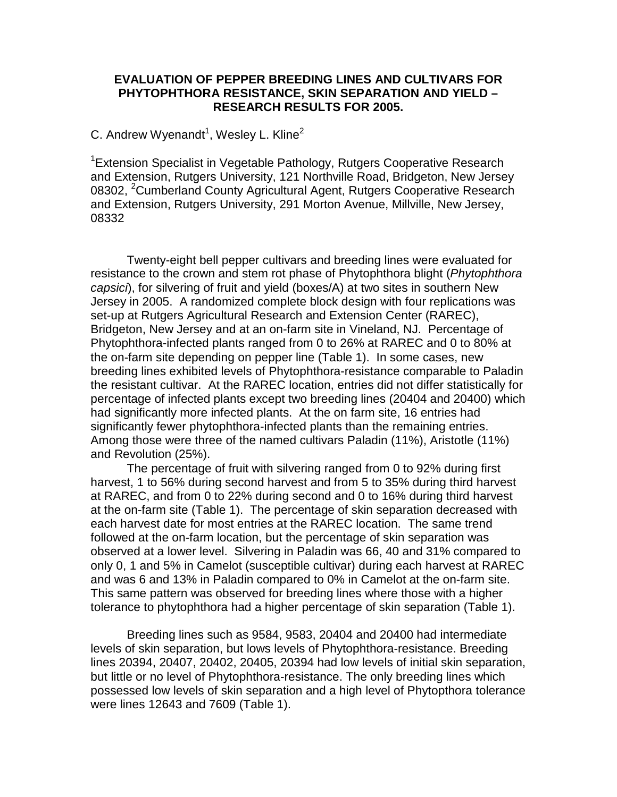## **EVALUATION OF PEPPER BREEDING LINES AND CULTIVARS FOR PHYTOPHTHORA RESISTANCE, SKIN SEPARATION AND YIELD – RESEARCH RESULTS FOR 2005.**

## C. Andrew Wyenandt<sup>1</sup>, Wesley L. Kline<sup>2</sup>

<sup>1</sup> Extension Specialist in Vegetable Pathology, Rutgers Cooperative Research and Extension, Rutgers University, 121 Northville Road, Bridgeton, New Jersey 08302, <sup>2</sup>Cumberland County Agricultural Agent, Rutgers Cooperative Research and Extension, Rutgers University, 291 Morton Avenue, Millville, New Jersey, 08332

Twenty-eight bell pepper cultivars and breeding lines were evaluated for resistance to the crown and stem rot phase of Phytophthora blight (*Phytophthora capsici*), for silvering of fruit and yield (boxes/A) at two sites in southern New Jersey in 2005. A randomized complete block design with four replications was set-up at Rutgers Agricultural Research and Extension Center (RAREC), Bridgeton, New Jersey and at an on-farm site in Vineland, NJ. Percentage of Phytophthora-infected plants ranged from 0 to 26% at RAREC and 0 to 80% at the on-farm site depending on pepper line (Table 1). In some cases, new breeding lines exhibited levels of Phytophthora-resistance comparable to Paladin the resistant cultivar. At the RAREC location, entries did not differ statistically for percentage of infected plants except two breeding lines (20404 and 20400) which had significantly more infected plants. At the on farm site, 16 entries had significantly fewer phytophthora-infected plants than the remaining entries. Among those were three of the named cultivars Paladin (11%), Aristotle (11%) and Revolution (25%).

The percentage of fruit with silvering ranged from 0 to 92% during first harvest, 1 to 56% during second harvest and from 5 to 35% during third harvest at RAREC, and from 0 to 22% during second and 0 to 16% during third harvest at the on-farm site (Table 1). The percentage of skin separation decreased with each harvest date for most entries at the RAREC location. The same trend followed at the on-farm location, but the percentage of skin separation was observed at a lower level. Silvering in Paladin was 66, 40 and 31% compared to only 0, 1 and 5% in Camelot (susceptible cultivar) during each harvest at RAREC and was 6 and 13% in Paladin compared to 0% in Camelot at the on-farm site. This same pattern was observed for breeding lines where those with a higher tolerance to phytophthora had a higher percentage of skin separation (Table 1).

Breeding lines such as 9584, 9583, 20404 and 20400 had intermediate levels of skin separation, but lows levels of Phytophthora-resistance. Breeding lines 20394, 20407, 20402, 20405, 20394 had low levels of initial skin separation, but little or no level of Phytophthora-resistance. The only breeding lines which possessed low levels of skin separation and a high level of Phytopthora tolerance were lines 12643 and 7609 (Table 1).